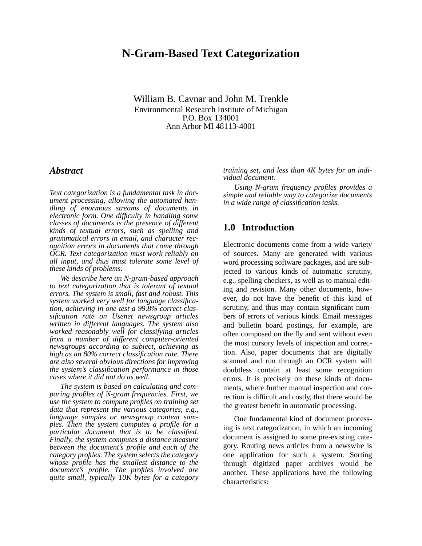# **N-Gram-Based Text Categorization**

William B. Cavnar and John M. Trenkle Environmental Research Institute of Michigan P.O. Box 134001 Ann Arbor MI 48113-4001

### *Abstract*

*Text categorization is a fundamental task in document processing, allowing the automated handling of enormous streams of documents in electronic form. One difficulty in handling some classes of documents is the presence of different kinds of textual errors, such as spelling and grammatical errors in email, and character recognition errors in documents that come through OCR. Text categorization must work reliably on all input, and thus must tolerate some level of these kinds of problems.*

*We describe here an N-gram-based approach to text categorization that is tolerant of textual errors. The system is small, fast and robust. This system worked very well for language classification, achieving in one test a 99.8% correct classification rate on Usenet newsgroup articles written in different languages. The system also worked reasonably well for classifying articles from a number of different computer-oriented newsgroups according to subject, achieving as high as an 80% correct classification rate. There are also several obvious directions for improving the system's classification performance in those cases where it did not do as well.*

*The system is based on calculating and comparing profiles of N-gram frequencies. First, we use the system to compute profiles on training set data that represent the various categories, e.g., language samples or newsgroup content samples. Then the system computes a profile for a particular document that is to be classified. Finally, the system computes a distance measure between the document's profile and each of the category profiles. The system selects the category whose profile has the smallest distance to the document's profile. The profiles involved are quite small, typically 10K bytes for a category*

*training set, and less than 4K bytes for an individual document.* 

*Using N-gram frequency profiles provides a simple and reliable way to categorize documents in a wide range of classification tasks.*

## **1.0 Introduction**

Electronic documents come from a wide variety of sources. Many are generated with various word processing software packages, and are subjected to various kinds of automatic scrutiny, e.g., spelling checkers, as well as to manual editing and revision. Many other documents, however, do not have the benefit of this kind of scrutiny, and thus may contain significant numbers of errors of various kinds. Email messages and bulletin board postings, for example, are often composed on the fly and sent without even the most cursory levels of inspection and correction. Also, paper documents that are digitally scanned and run through an OCR system will doubtless contain at least some recognition errors. It is precisely on these kinds of documents, where further manual inspection and correction is difficult and costly, that there would be the greatest benefit in automatic processing.

One fundamental kind of document processing is text categorization, in which an incoming document is assigned to some pre-existing category. Routing news articles from a newswire is one application for such a system. Sorting through digitized paper archives would be another. These applications have the following characteristics: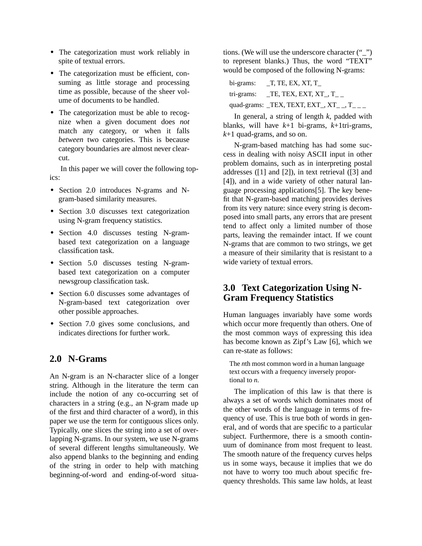- **•** The categorization must work reliably in spite of textual errors.
- The categorization must be efficient, consuming as little storage and processing time as possible, because of the sheer volume of documents to be handled.
- The categorization must be able to recognize when a given document does *not* match any category, or when it falls *between* two categories. This is because category boundaries are almost never clearcut.

In this paper we will cover the following topics:

- **•** Section 2.0 introduces N-grams and Ngram-based similarity measures.
- **•** Section 3.0 discusses text categorization using N-gram frequency statistics.
- **•** Section 4.0 discusses testing N-grambased text categorization on a language classification task.
- **•** Section 5.0 discusses testing N-grambased text categorization on a computer newsgroup classification task.
- **•** Section 6.0 discusses some advantages of N-gram-based text categorization over other possible approaches.
- Section 7.0 gives some conclusions, and indicates directions for further work.

## **2.0 N-Grams**

An N-gram is an N-character slice of a longer string. Although in the literature the term can include the notion of any co-occurring set of characters in a string (e.g., an N-gram made up of the first and third character of a word), in this paper we use the term for contiguous slices only. Typically, one slices the string into a set of overlapping N-grams. In our system, we use N-grams of several different lengths simultaneously. We also append blanks to the beginning and ending of the string in order to help with matching beginning-of-word and ending-of-word situations. (We will use the underscore character ("") to represent blanks.) Thus, the word "TEXT" would be composed of the following N-grams:

| bi-grams: | T, TE, EX, XT, T                          |
|-----------|-------------------------------------------|
|           | tri-grams: $\qquad$ TE, TEX, EXT, XT_, T_ |
|           | quad-grams: $_TEX$ , TEXT, EXT, XT, T, T  |

In general, a string of length *k*, padded with blanks, will have *k*+1 bi-grams, *k*+1tri-grams, *k*+1 quad-grams, and so on.

N-gram-based matching has had some success in dealing with noisy ASCII input in other problem domains, such as in interpreting postal addresses ([1] and [2]), in text retrieval ([3] and [4]), and in a wide variety of other natural language processing applications[5]. The key benefit that N-gram-based matching provides derives from its very nature: since every string is decomposed into small parts, any errors that are present tend to affect only a limited number of those parts, leaving the remainder intact. If we count N-grams that are common to two strings, we get a measure of their similarity that is resistant to a wide variety of textual errors.

## **3.0 Text Categorization Using N-Gram Frequency Statistics**

Human languages invariably have some words which occur more frequently than others. One of the most common ways of expressing this idea has become known as Zipf's Law [6], which we can re-state as follows:

The *n*th most common word in a human language text occurs with a frequency inversely proportional to *n*.

The implication of this law is that there is always a set of words which dominates most of the other words of the language in terms of frequency of use. This is true both of words in general, and of words that are specific to a particular subject. Furthermore, there is a smooth continuum of dominance from most frequent to least. The smooth nature of the frequency curves helps us in some ways, because it implies that we do not have to worry too much about specific frequency thresholds. This same law holds, at least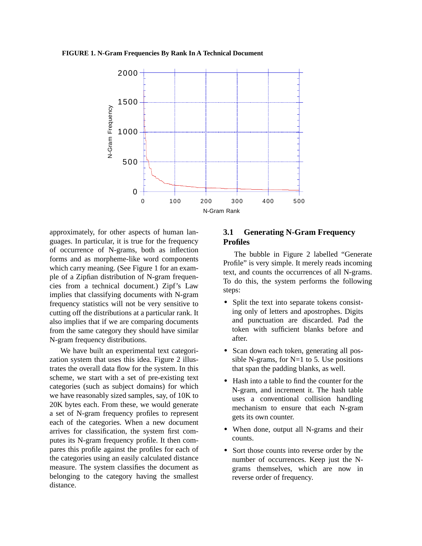**FIGURE 1. N-Gram Frequencies By Rank In A Technical Document**



approximately, for other aspects of human languages. In particular, it is true for the frequency of occurrence of N-grams, both as inflection forms and as morpheme-like word components which carry meaning. (See Figure 1 for an example of a Zipfian distribution of N-gram frequencies from a technical document.) Zipf's Law implies that classifying documents with N-gram frequency statistics will not be very sensitive to cutting off the distributions at a particular rank. It also implies that if we are comparing documents from the same category they should have similar N-gram frequency distributions.

We have built an experimental text categorization system that uses this idea. Figure 2 illustrates the overall data flow for the system. In this scheme, we start with a set of pre-existing text categories (such as subject domains) for which we have reasonably sized samples, say, of 10K to 20K bytes each. From these, we would generate a set of N-gram frequency profiles to represent each of the categories. When a new document arrives for classification, the system first computes its N-gram frequency profile. It then compares this profile against the profiles for each of the categories using an easily calculated distance measure. The system classifies the document as belonging to the category having the smallest distance.

### **3.1 Generating N-Gram Frequency Profiles**

The bubble in Figure 2 labelled "Generate Profile" is very simple. It merely reads incoming text, and counts the occurrences of all N-grams. To do this, the system performs the following steps:

- Split the text into separate tokens consisting only of letters and apostrophes. Digits and punctuation are discarded. Pad the token with sufficient blanks before and after.
- Scan down each token, generating all possible N-grams, for  $N=1$  to 5. Use positions that span the padding blanks, as well.
- **•** Hash into a table to find the counter for the N-gram, and increment it. The hash table uses a conventional collision handling mechanism to ensure that each N-gram gets its own counter.
- **•** When done, output all N-grams and their counts.
- Sort those counts into reverse order by the number of occurrences. Keep just the Ngrams themselves, which are now in reverse order of frequency.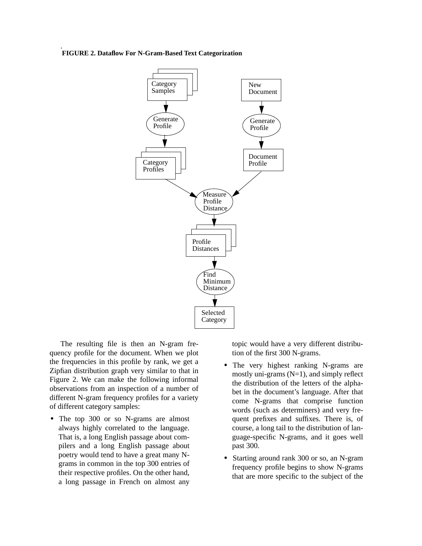#### **FIGURE 2. Dataflow For N-Gram-Based Text Categorization**

.



The resulting file is then an N-gram frequency profile for the document. When we plot the frequencies in this profile by rank, we get a Zipfian distribution graph very similar to that in Figure 2. We can make the following informal observations from an inspection of a number of different N-gram frequency profiles for a variety of different category samples:

**•** The top 300 or so N-grams are almost always highly correlated to the language. That is, a long English passage about compilers and a long English passage about poetry would tend to have a great many Ngrams in common in the top 300 entries of their respective profiles. On the other hand, a long passage in French on almost any topic would have a very different distribution of the first 300 N-grams.

- **•** The very highest ranking N-grams are mostly uni-grams  $(N=1)$ , and simply reflect the distribution of the letters of the alphabet in the document's language. After that come N-grams that comprise function words (such as determiners) and very frequent prefixes and suffixes. There is, of course, a long tail to the distribution of language-specific N-grams, and it goes well past 300.
- **•** Starting around rank 300 or so, an N-gram frequency profile begins to show N-grams that are more specific to the subject of the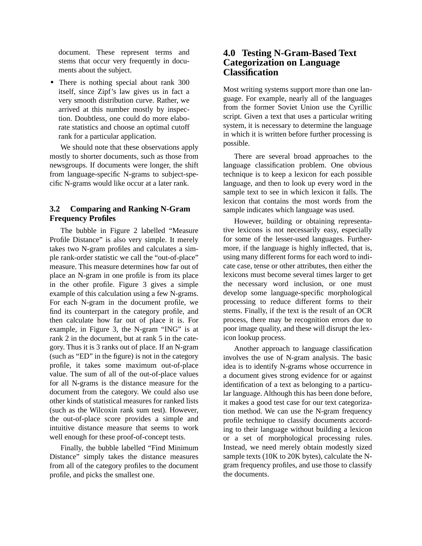document. These represent terms and stems that occur very frequently in documents about the subject.

• There is nothing special about rank 300 itself, since Zipf's law gives us in fact a very smooth distribution curve. Rather, we arrived at this number mostly by inspection. Doubtless, one could do more elaborate statistics and choose an optimal cutoff rank for a particular application.

We should note that these observations apply mostly to shorter documents, such as those from newsgroups. If documents were longer, the shift from language-specific N-grams to subject-specific N-grams would like occur at a later rank.

### **3.2 Comparing and Ranking N-Gram Frequency Profiles**

The bubble in Figure 2 labelled "Measure Profile Distance" is also very simple. It merely takes two N-gram profiles and calculates a simple rank-order statistic we call the "out-of-place" measure. This measure determines how far out of place an N-gram in one profile is from its place in the other profile. Figure 3 gives a simple example of this calculation using a few N-grams. For each N-gram in the document profile, we find its counterpart in the category profile, and then calculate how far out of place it is. For example, in Figure 3, the N-gram "ING" is at rank 2 in the document, but at rank 5 in the category. Thus it is 3 ranks out of place. If an N-gram (such as "ED" in the figure) is not in the category profile, it takes some maximum out-of-place value. The sum of all of the out-of-place values for all N-grams is the distance measure for the document from the category. We could also use other kinds of statistical measures for ranked lists (such as the Wilcoxin rank sum test). However, the out-of-place score provides a simple and intuitive distance measure that seems to work well enough for these proof-of-concept tests.

Finally, the bubble labelled "Find Minimum Distance" simply takes the distance measures from all of the category profiles to the document profile, and picks the smallest one.

## **4.0 Testing N-Gram-Based Text Categorization on Language Classification**

Most writing systems support more than one language. For example, nearly all of the languages from the former Soviet Union use the Cyrillic script. Given a text that uses a particular writing system, it is necessary to determine the language in which it is written before further processing is possible.

There are several broad approaches to the language classification problem. One obvious technique is to keep a lexicon for each possible language, and then to look up every word in the sample text to see in which lexicon it falls. The lexicon that contains the most words from the sample indicates which language was used.

However, building or obtaining representative lexicons is not necessarily easy, especially for some of the lesser-used languages. Furthermore, if the language is highly inflected, that is, using many different forms for each word to indicate case, tense or other attributes, then either the lexicons must become several times larger to get the necessary word inclusion, or one must develop some language-specific morphological processing to reduce different forms to their stems. Finally, if the text is the result of an OCR process, there may be recognition errors due to poor image quality, and these will disrupt the lexicon lookup process.

Another approach to language classification involves the use of N-gram analysis. The basic idea is to identify N-grams whose occurrence in a document gives strong evidence for or against identification of a text as belonging to a particular language. Although this has been done before, it makes a good test case for our text categorization method. We can use the N-gram frequency profile technique to classify documents according to their language without building a lexicon or a set of morphological processing rules. Instead, we need merely obtain modestly sized sample texts (10K to 20K bytes), calculate the Ngram frequency profiles, and use those to classify the documents.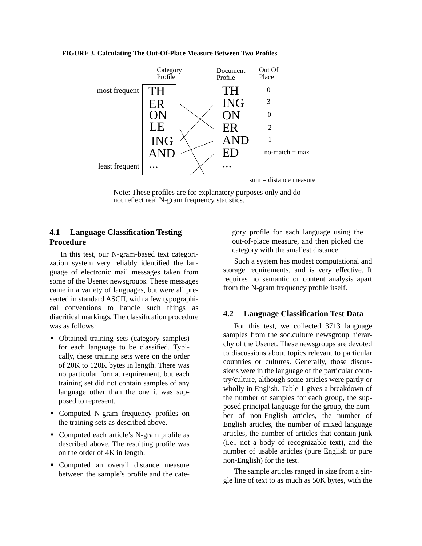#### **FIGURE 3. Calculating The Out-Of-Place Measure Between Two Profiles**



Note: These profiles are for explanatory purposes only and do not reflect real N-gram frequency statistics.

### **4.1 Language Classification Testing Procedure**

In this test, our N-gram-based text categorization system very reliably identified the language of electronic mail messages taken from some of the Usenet newsgroups. These messages came in a variety of languages, but were all presented in standard ASCII, with a few typographical conventions to handle such things as diacritical markings. The classification procedure was as follows:

- Obtained training sets (category samples) for each language to be classified. Typically, these training sets were on the order of 20K to 120K bytes in length. There was no particular format requirement, but each training set did not contain samples of any language other than the one it was supposed to represent.
- **•** Computed N-gram frequency profiles on the training sets as described above.
- **•** Computed each article's N-gram profile as described above. The resulting profile was on the order of 4K in length.
- **•** Computed an overall distance measure between the sample's profile and the cate-

gory profile for each language using the out-of-place measure, and then picked the category with the smallest distance.

Such a system has modest computational and storage requirements, and is very effective. It requires no semantic or content analysis apart from the N-gram frequency profile itself.

### **4.2 Language Classification Test Data**

For this test, we collected 3713 language samples from the soc.culture newsgroup hierarchy of the Usenet. These newsgroups are devoted to discussions about topics relevant to particular countries or cultures. Generally, those discussions were in the language of the particular country/culture, although some articles were partly or wholly in English. Table 1 gives a breakdown of the number of samples for each group, the supposed principal language for the group, the number of non-English articles, the number of English articles, the number of mixed language articles, the number of articles that contain junk (i.e., not a body of recognizable text), and the number of usable articles (pure English or pure non-English) for the test.

The sample articles ranged in size from a single line of text to as much as 50K bytes, with the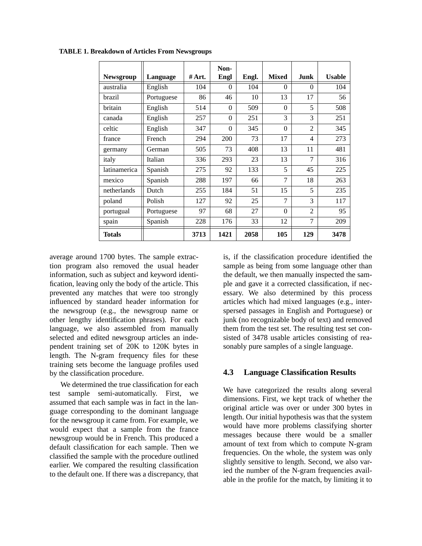| <b>Newsgroup</b> | Language   | #Art. | Non-<br>Engl | Engl. | <b>Mixed</b>   | Junk           | <b>Usable</b> |
|------------------|------------|-------|--------------|-------|----------------|----------------|---------------|
| australia        | English    | 104   | $\Omega$     | 104   | $\Omega$       | $\Omega$       | 104           |
| brazil           | Portuguese | 86    | 46           | 10    | 13             | 17             | 56            |
| britain          | English    | 514   | 0            | 509   | $\Omega$       | 5              | 508           |
| canada           | English    | 257   | $\theta$     | 251   | $\mathcal{R}$  | 3              | 251           |
| celtic           | English    | 347   | $\theta$     | 345   | $\Omega$       | $\overline{2}$ | 345           |
| france           | French     | 294   | 200          | 73    | 17             | 4              | 273           |
| germany          | German     | 505   | 73           | 408   | 13             | 11             | 481           |
| italy            | Italian    | 336   | 293          | 23    | 13             | $\overline{7}$ | 316           |
| latinamerica     | Spanish    | 275   | 92           | 133   | 5              | 45             | 225           |
| mexico           | Spanish    | 288   | 197          | 66    | $\overline{7}$ | 18             | 263           |
| netherlands      | Dutch      | 255   | 184          | 51    | 15             | 5              | 235           |
| poland           | Polish     | 127   | 92           | 25    | 7              | 3              | 117           |
| portugual        | Portuguese | 97    | 68           | 27    | $\Omega$       | $\mathfrak{D}$ | 95            |
| spain            | Spanish    | 228   | 176          | 33    | 12             | 7              | 209           |
| Totals           |            | 3713  | 1421         | 2058  | 105            | 129            | 3478          |

**TABLE 1. Breakdown of Articles From Newsgroups**

average around 1700 bytes. The sample extraction program also removed the usual header information, such as subject and keyword identification, leaving only the body of the article. This prevented any matches that were too strongly influenced by standard header information for the newsgroup (e.g., the newsgroup name or other lengthy identification phrases). For each language, we also assembled from manually selected and edited newsgroup articles an independent training set of 20K to 120K bytes in length. The N-gram frequency files for these training sets become the language profiles used by the classification procedure.

We determined the true classification for each test sample semi-automatically. First, we assumed that each sample was in fact in the language corresponding to the dominant language for the newsgroup it came from. For example, we would expect that a sample from the france newsgroup would be in French. This produced a default classification for each sample. Then we classified the sample with the procedure outlined earlier. We compared the resulting classification to the default one. If there was a discrepancy, that

is, if the classification procedure identified the sample as being from some language other than the default, we then manually inspected the sample and gave it a corrected classification, if necessary. We also determined by this process articles which had mixed languages (e.g., interspersed passages in English and Portuguese) or junk (no recognizable body of text) and removed them from the test set. The resulting test set consisted of 3478 usable articles consisting of reasonably pure samples of a single language.

### **4.3 Language Classification Results**

We have categorized the results along several dimensions. First, we kept track of whether the original article was over or under 300 bytes in length. Our initial hypothesis was that the system would have more problems classifying shorter messages because there would be a smaller amount of text from which to compute N-gram frequencies. On the whole, the system was only slightly sensitive to length. Second, we also varied the number of the N-gram frequencies available in the profile for the match, by limiting it to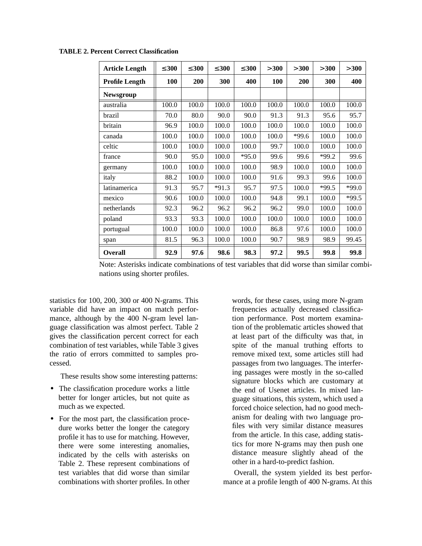| <b>Article Length</b> | $\leq 300$ | $\leq 300$ | $\leq 300$ | $\leq 300$ | > 300 | > 300   | > 300      | > 300   |
|-----------------------|------------|------------|------------|------------|-------|---------|------------|---------|
| <b>Profile Length</b> | 100        | 200        | 300        | 400        | 100   | 200     | <b>300</b> | 400     |
| <b>Newsgroup</b>      |            |            |            |            |       |         |            |         |
| australia             | 100.0      | 100.0      | 100.0      | 100.0      | 100.0 | 100.0   | 100.0      | 100.0   |
| brazil                | 70.0       | 80.0       | 90.0       | 90.0       | 91.3  | 91.3    | 95.6       | 95.7    |
| britain               | 96.9       | 100.0      | 100.0      | 100.0      | 100.0 | 100.0   | 100.0      | 100.0   |
| canada                | 100.0      | 100.0      | 100.0      | 100.0      | 100.0 | $*99.6$ | 100.0      | 100.0   |
| celtic                | 100.0      | 100.0      | 100.0      | 100.0      | 99.7  | 100.0   | 100.0      | 100.0   |
| france                | 90.0       | 95.0       | 100.0      | $*95.0$    | 99.6  | 99.6    | $*99.2$    | 99.6    |
| germany               | 100.0      | 100.0      | 100.0      | 100.0      | 98.9  | 100.0   | 100.0      | 100.0   |
| italy                 | 88.2       | 100.0      | 100.0      | 100.0      | 91.6  | 99.3    | 99.6       | 100.0   |
| latinamerica          | 91.3       | 95.7       | $*91.3$    | 95.7       | 97.5  | 100.0   | $*99.5$    | $*99.0$ |
| mexico                | 90.6       | 100.0      | 100.0      | 100.0      | 94.8  | 99.1    | 100.0      | *99.5   |
| netherlands           | 92.3       | 96.2       | 96.2       | 96.2       | 96.2  | 99.0    | 100.0      | 100.0   |
| poland                | 93.3       | 93.3       | 100.0      | 100.0      | 100.0 | 100.0   | 100.0      | 100.0   |
| portugual             | 100.0      | 100.0      | 100.0      | 100.0      | 86.8  | 97.6    | 100.0      | 100.0   |
| span                  | 81.5       | 96.3       | 100.0      | 100.0      | 90.7  | 98.9    | 98.9       | 99.45   |
| <b>Overall</b>        | 92.9       | 97.6       | 98.6       | 98.3       | 97.2  | 99.5    | 99.8       | 99.8    |

**TABLE 2. Percent Correct Classification**

Note: Asterisks indicate combinations of test variables that did worse than similar combinations using shorter profiles.

statistics for 100, 200, 300 or 400 N-grams. This variable did have an impact on match performance, although by the 400 N-gram level language classification was almost perfect. Table 2 gives the classification percent correct for each combination of test variables, while Table 3 gives the ratio of errors committed to samples processed.

These results show some interesting patterns:

- **•** The classification procedure works a little better for longer articles, but not quite as much as we expected.
- **•** For the most part, the classification procedure works better the longer the category profile it has to use for matching. However, there were some interesting anomalies, indicated by the cells with asterisks on Table 2. These represent combinations of test variables that did worse than similar combinations with shorter profiles. In other

words, for these cases, using more N-gram frequencies actually decreased classification performance. Post mortem examination of the problematic articles showed that at least part of the difficulty was that, in spite of the manual truthing efforts to remove mixed text, some articles still had passages from two languages. The interfering passages were mostly in the so-called signature blocks which are customary at the end of Usenet articles. In mixed language situations, this system, which used a forced choice selection, had no good mechanism for dealing with two language profiles with very similar distance measures from the article. In this case, adding statistics for more N-grams may then push one distance measure slightly ahead of the other in a hard-to-predict fashion.

Overall, the system yielded its best performance at a profile length of 400 N-grams. At this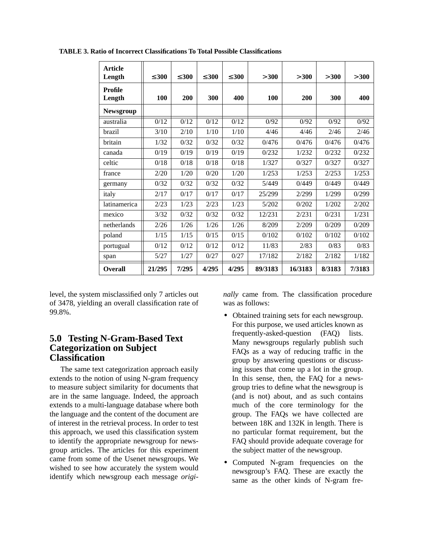| <b>Article</b><br>Length | $\leq 300$ | $\leq 300$ | $\leq 300$ | $\leq 300$ | > 300   | > 300   | >300   | > 300  |
|--------------------------|------------|------------|------------|------------|---------|---------|--------|--------|
| <b>Profile</b><br>Length | 100        | 200        | 300        | 400        | 100     | 200     | 300    | 400    |
| <b>Newsgroup</b>         |            |            |            |            |         |         |        |        |
| australia                | 0/12       | 0/12       | 0/12       | 0/12       | 0/92    | 0/92    | 0/92   | 0/92   |
| brazil                   | 3/10       | 2/10       | 1/10       | 1/10       | 4/46    | 4/46    | 2/46   | 2/46   |
| britain                  | 1/32       | 0/32       | 0/32       | 0/32       | 0/476   | 0/476   | 0/476  | 0/476  |
| canada                   | 0/19       | 0/19       | 0/19       | 0/19       | 0/232   | 1/232   | 0/232  | 0/232  |
| celtic                   | 0/18       | 0/18       | 0/18       | 0/18       | 1/327   | 0/327   | 0/327  | 0/327  |
| france                   | 2/20       | 1/20       | 0/20       | 1/20       | 1/253   | 1/253   | 2/253  | 1/253  |
| germany                  | 0/32       | 0/32       | 0/32       | 0/32       | 5/449   | 0/449   | 0/449  | 0/449  |
| italy                    | 2/17       | 0/17       | 0/17       | 0/17       | 25/299  | 2/299   | 1/299  | 0/299  |
| latinamerica             | 2/23       | 1/23       | 2/23       | 1/23       | 5/202   | 0/202   | 1/202  | 2/202  |
| mexico                   | 3/32       | 0/32       | 0/32       | 0/32       | 12/231  | 2/231   | 0/231  | 1/231  |
| netherlands              | 2/26       | 1/26       | 1/26       | 1/26       | 8/209   | 2/209   | 0/209  | 0/209  |
| poland                   | 1/15       | 1/15       | 0/15       | 0/15       | 0/102   | 0/102   | 0/102  | 0/102  |
| portugual                | 0/12       | 0/12       | 0/12       | 0/12       | 11/83   | 2/83    | 0/83   | 0/83   |
| span                     | 5/27       | 1/27       | 0/27       | 0/27       | 17/182  | 2/182   | 2/182  | 1/182  |
| <b>Overall</b>           | 21/295     | 7/295      | 4/295      | 4/295      | 89/3183 | 16/3183 | 8/3183 | 7/3183 |

**TABLE 3. Ratio of Incorrect Classifications To Total Possible Classifications**

level, the system misclassified only 7 articles out of 3478, yielding an overall classification rate of 99.8%.

## **5.0 Testing N-Gram-Based Text Categorization on Subject Classification**

The same text categorization approach easily extends to the notion of using N-gram frequency to measure subject similarity for documents that are in the same language. Indeed, the approach extends to a multi-language database where both the language and the content of the document are of interest in the retrieval process. In order to test this approach, we used this classification system to identify the appropriate newsgroup for newsgroup articles. The articles for this experiment came from some of the Usenet newsgroups. We wished to see how accurately the system would identify which newsgroup each message *origi-* *nally* came from. The classification procedure was as follows:

- **•** Obtained training sets for each newsgroup. For this purpose, we used articles known as frequently-asked-question (FAQ) lists. Many newsgroups regularly publish such FAQs as a way of reducing traffic in the group by answering questions or discussing issues that come up a lot in the group. In this sense, then, the FAQ for a newsgroup tries to define what the newsgroup is (and is not) about, and as such contains much of the core terminology for the group. The FAQs we have collected are between 18K and 132K in length. There is no particular format requirement, but the FAQ should provide adequate coverage for the subject matter of the newsgroup.
- **•** Computed N-gram frequencies on the newsgroup's FAQ. These are exactly the same as the other kinds of N-gram fre-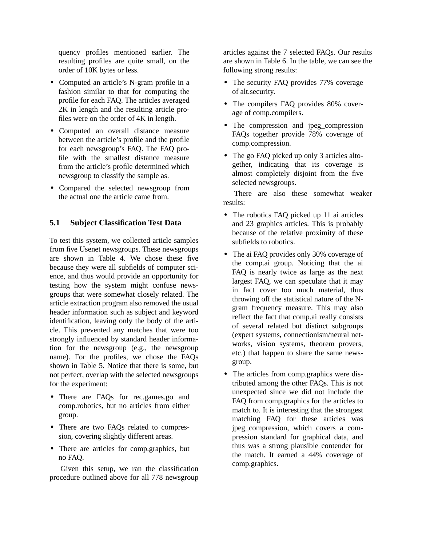quency profiles mentioned earlier. The resulting profiles are quite small, on the order of 10K bytes or less.

- **•** Computed an article's N-gram profile in a fashion similar to that for computing the profile for each FAQ. The articles averaged 2K in length and the resulting article profiles were on the order of 4K in length.
- **•** Computed an overall distance measure between the article's profile and the profile for each newsgroup's FAQ. The FAQ profile with the smallest distance measure from the article's profile determined which newsgroup to classify the sample as.
- **•** Compared the selected newsgroup from the actual one the article came from.

### **5.1 Subject Classification Test Data**

To test this system, we collected article samples from five Usenet newsgroups. These newsgroups are shown in Table 4. We chose these five because they were all subfields of computer science, and thus would provide an opportunity for testing how the system might confuse newsgroups that were somewhat closely related. The article extraction program also removed the usual header information such as subject and keyword identification, leaving only the body of the article. This prevented any matches that were too strongly influenced by standard header information for the newsgroup (e.g., the newsgroup name). For the profiles, we chose the FAQs shown in Table 5. Notice that there is some, but not perfect, overlap with the selected newsgroups for the experiment:

- **•** There are FAQs for rec.games.go and comp.robotics, but no articles from either group.
- **•** There are two FAQs related to compression, covering slightly different areas.
- **•** There are articles for comp.graphics, but no FAQ.

Given this setup, we ran the classification procedure outlined above for all 778 newsgroup

articles against the 7 selected FAQs. Our results are shown in Table 6. In the table, we can see the following strong results:

- The security FAQ provides 77% coverage of alt.security.
- **•** The compilers FAQ provides 80% coverage of comp.compilers.
- The compression and jpeg\_compression FAQs together provide 78% coverage of comp.compression.
- The go FAQ picked up only 3 articles altogether, indicating that its coverage is almost completely disjoint from the five selected newsgroups.

There are also these somewhat weaker results:

- The robotics FAQ picked up 11 ai articles and 23 graphics articles. This is probably because of the relative proximity of these subfields to robotics.
- The ai FAQ provides only 30% coverage of the comp.ai group. Noticing that the ai FAQ is nearly twice as large as the next largest FAQ, we can speculate that it may in fact cover too much material, thus throwing off the statistical nature of the Ngram frequency measure. This may also reflect the fact that comp.ai really consists of several related but distinct subgroups (expert systems, connectionism/neural networks, vision systems, theorem provers, etc.) that happen to share the same newsgroup.
- **•** The articles from comp.graphics were distributed among the other FAQs. This is not unexpected since we did not include the FAQ from comp.graphics for the articles to match to. It is interesting that the strongest matching FAQ for these articles was jpeg\_compression, which covers a compression standard for graphical data, and thus was a strong plausible contender for the match. It earned a 44% coverage of comp.graphics.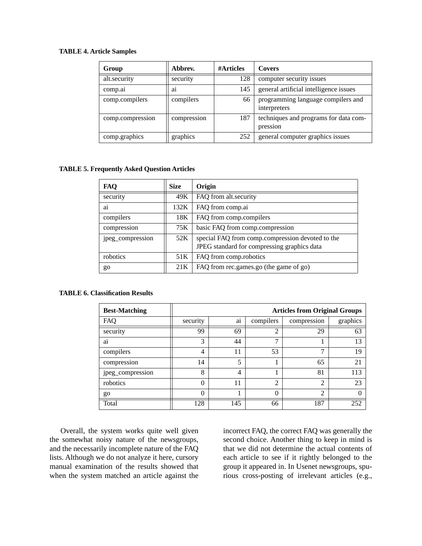### **TABLE 4. Article Samples**

| Group            | Abbrev.        | #Articles | <b>Covers</b>                                      |
|------------------|----------------|-----------|----------------------------------------------------|
| alt.security     | security       | 128       | computer security issues                           |
| comp.ai          | a <sub>1</sub> | 145       | general artificial intelligence issues             |
| comp.compilers   | compilers      | 66        | programming language compilers and<br>interpreters |
| comp.compression | compression    | 187       | techniques and programs for data com-<br>pression  |
| comp.graphics    | graphics       | 252       | general computer graphics issues                   |

#### **TABLE 5. Frequently Asked Question Articles**

| <b>FAQ</b>       | <b>Size</b> | Origin                                                                                          |
|------------------|-------------|-------------------------------------------------------------------------------------------------|
| security         | 49K         | FAQ from alt.security                                                                           |
| ai               | 132K        | FAQ from comp.ai                                                                                |
| compilers        | 18K         | FAQ from comp.compilers                                                                         |
| compression      | 75K         | basic FAQ from comp.compression                                                                 |
| jpeg_compression | 52K         | special FAQ from comp.compression devoted to the<br>JPEG standard for compressing graphics data |
| robotics         | 51K         | FAQ from comp.robotics                                                                          |
| go               | 21K         | FAQ from rec.games.go (the game of go)                                                          |

#### **TABLE 6. Classification Results**

| <b>Best-Matching</b> | <b>Articles from Original Groups</b> |                 |                |                |          |  |  |  |
|----------------------|--------------------------------------|-----------------|----------------|----------------|----------|--|--|--|
| FAQ                  | security                             | $\bullet$<br>ai | compilers      | compression    | graphics |  |  |  |
| security             | 99                                   | 69              | $\overline{2}$ | 29             | 63       |  |  |  |
| ai                   | 3                                    | 44              | ⇁              |                | 13       |  |  |  |
| compilers            | 4                                    | 11              | 53             | 7              | 19       |  |  |  |
| compression          | 14                                   | 5               |                | 65             | 21       |  |  |  |
| jpeg_compression     | 8                                    | 4               |                | 81             | 113      |  |  |  |
| robotics             | 0                                    | 11              | $\overline{2}$ | $\mathfrak{D}$ | 23       |  |  |  |
| go                   | 0                                    |                 | $\theta$       | $\overline{2}$ |          |  |  |  |
| Total                | 128                                  | 145             | 66             | 187            | 252      |  |  |  |

Overall, the system works quite well given the somewhat noisy nature of the newsgroups, and the necessarily incomplete nature of the FAQ lists. Although we do not analyze it here, cursory manual examination of the results showed that when the system matched an article against the

incorrect FAQ, the correct FAQ was generally the second choice. Another thing to keep in mind is that we did not determine the actual contents of each article to see if it rightly belonged to the group it appeared in. In Usenet newsgroups, spurious cross-posting of irrelevant articles (e.g.,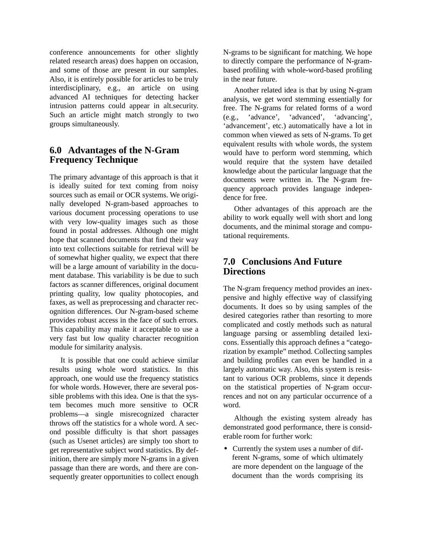conference announcements for other slightly related research areas) does happen on occasion, and some of those are present in our samples. Also, it is entirely possible for articles to be truly interdisciplinary, e.g., an article on using advanced AI techniques for detecting hacker intrusion patterns could appear in alt.security. Such an article might match strongly to two groups simultaneously.

## **6.0 Advantages of the N-Gram Frequency Technique**

The primary advantage of this approach is that it is ideally suited for text coming from noisy sources such as email or OCR systems. We originally developed N-gram-based approaches to various document processing operations to use with very low-quality images such as those found in postal addresses. Although one might hope that scanned documents that find their way into text collections suitable for retrieval will be of somewhat higher quality, we expect that there will be a large amount of variability in the document database. This variability is be due to such factors as scanner differences, original document printing quality, low quality photocopies, and faxes, as well as preprocessing and character recognition differences. Our N-gram-based scheme provides robust access in the face of such errors. This capability may make it acceptable to use a very fast but low quality character recognition module for similarity analysis.

It is possible that one could achieve similar results using whole word statistics. In this approach, one would use the frequency statistics for whole words. However, there are several possible problems with this idea. One is that the system becomes much more sensitive to OCR problems—a single misrecognized character throws off the statistics for a whole word. A second possible difficulty is that short passages (such as Usenet articles) are simply too short to get representative subject word statistics. By definition, there are simply more N-grams in a given passage than there are words, and there are consequently greater opportunities to collect enough

N-grams to be significant for matching. We hope to directly compare the performance of N-grambased profiling with whole-word-based profiling in the near future.

Another related idea is that by using N-gram analysis, we get word stemming essentially for free. The N-grams for related forms of a word (e.g., 'advance', 'advanced', 'advancing', 'advancement', etc.) automatically have a lot in common when viewed as sets of N-grams. To get equivalent results with whole words, the system would have to perform word stemming, which would require that the system have detailed knowledge about the particular language that the documents were written in. The N-gram frequency approach provides language independence for free.

Other advantages of this approach are the ability to work equally well with short and long documents, and the minimal storage and computational requirements.

## **7.0 Conclusions And Future Directions**

The N-gram frequency method provides an inexpensive and highly effective way of classifying documents. It does so by using samples of the desired categories rather than resorting to more complicated and costly methods such as natural language parsing or assembling detailed lexicons. Essentially this approach defines a "categorization by example" method. Collecting samples and building profiles can even be handled in a largely automatic way. Also, this system is resistant to various OCR problems, since it depends on the statistical properties of N-gram occurrences and not on any particular occurrence of a word.

Although the existing system already has demonstrated good performance, there is considerable room for further work:

**•** Currently the system uses a number of different N-grams, some of which ultimately are more dependent on the language of the document than the words comprising its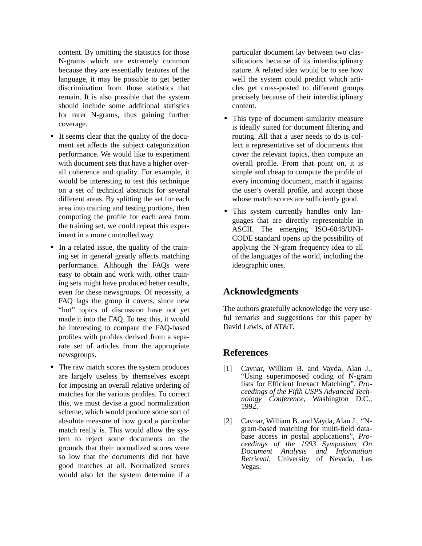content. By omitting the statistics for those N-grams which are extremely common because they are essentially features of the language, it may be possible to get better discrimination from those statistics that remain. It is also possible that the system should include some additional statistics for rarer N-grams, thus gaining further coverage.

- **•** It seems clear that the quality of the document set affects the subject categorization performance. We would like to experiment with document sets that have a higher overall coherence and quality. For example, it would be interesting to test this technique on a set of technical abstracts for several different areas. By splitting the set for each area into training and testing portions, then computing the profile for each area from the training set, we could repeat this experiment in a more controlled way.
- In a related issue, the quality of the training set in general greatly affects matching performance. Although the FAQs were easy to obtain and work with, other training sets might have produced better results, even for these newsgroups. Of necessity, a FAQ lags the group it covers, since new "hot" topics of discussion have not yet made it into the FAQ. To test this, it would be interesting to compare the FAQ-based profiles with profiles derived from a separate set of articles from the appropriate newsgroups.
- The raw match scores the system produces are largely useless by themselves except for imposing an overall relative ordering of matches for the various profiles. To correct this, we must devise a good normalization scheme, which would produce some sort of absolute measure of how good a particular match really is. This would allow the system to reject some documents on the grounds that their normalized scores were so low that the documents did not have good matches at all. Normalized scores would also let the system determine if a

particular document lay between two classifications because of its interdisciplinary nature. A related idea would be to see how well the system could predict which articles get cross-posted to different groups precisely because of their interdisciplinary content.

- **•** This type of document similarity measure is ideally suited for document filtering and routing. All that a user needs to do is collect a representative set of documents that cover the relevant topics, then compute an overall profile. From that point on, it is simple and cheap to compute the profile of every incoming document, match it against the user's overall profile, and accept those whose match scores are sufficiently good.
- **•** This system currently handles only languages that are directly representable in ASCII. The emerging ISO-6048/UNI-CODE standard opens up the possibility of applying the N-gram frequency idea to all of the languages of the world, including the ideographic ones.

# **Acknowledgments**

The authors gratefully acknowledge the very useful remarks and suggestions for this paper by David Lewis, of AT&T.

# **References**

- [1] Cavnar, William B. and Vayda, Alan J., "Using superimposed coding of N-gram lists for Efficient Inexact Matching", *Proceedings of the Fifth USPS Advanced Technology Conference*, Washington D.C., 1992.
- [2] Cavnar, William B. and Vayda, Alan J., "Ngram-based matching for multi-field database access in postal applications", *Proceedings of the 1993 Symposium On Document Analysis and Information Retrieval*, University of Nevada, Las Vegas.